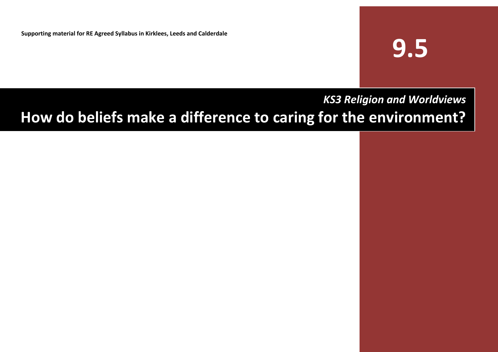**Supporting material for RE Agreed Syllabus in Kirklees, Leeds and Calderdale**

# **9.5**

# *KS3 Religion and Worldviews* **How do beliefs make a difference to caring for the environment?**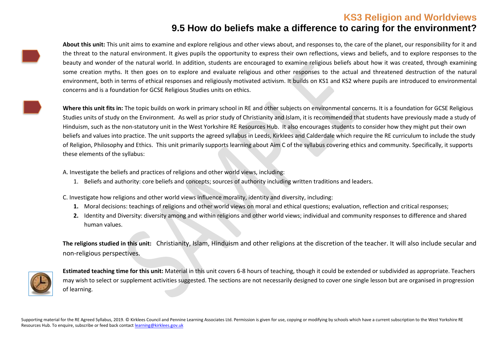#### **9.5 How do beliefs make a difference to caring for the environment?**

**About this unit:** This unit aims to examine and explore religious and other views about, and responses to, the care of the planet, our responsibility for it and the threat to the natural environment. It gives pupils the opportunity to express their own reflections, views and beliefs, and to explore responses to the beauty and wonder of the natural world. In addition, students are encouraged to examine religious beliefs about how it was created, through examining some creation myths. It then goes on to explore and evaluate religious and other responses to the actual and threatened destruction of the natural environment, both in terms of ethical responses and religiously motivated activism. It builds on KS1 and KS2 where pupils are introduced to environmental concerns and is a foundation for GCSE Religious Studies units on ethics.

**Where this unit fits in:** The topic builds on work in primary school in RE and other subjects on environmental concerns. It is a foundation for GCSE Religious Studies units of study on the Environment. As well as prior study of Christianity and Islam, it is recommended that students have previously made a study of Hinduism, such as the non-statutory unit in the West Yorkshire RE Resources Hub. It also encourages students to consider how they might put their own beliefs and values into practice. The unit supports the agreed syllabus in Leeds, Kirklees and Calderdale which require the RE curriculum to include the study of Religion, Philosophy and Ethics. This unit primarily supports learning about Aim C of the syllabus covering ethics and community. Specifically, it supports these elements of the syllabus:

A. Investigate the beliefs and practices of religions and other world views, including:

1. Beliefs and authority: core beliefs and concepts; sources of authority including written traditions and leaders.

C. Investigate how religions and other world views influence morality, identity and diversity, including:

- **1.** Moral decisions: teachings of religions and other world views on moral and ethical questions; evaluation, reflection and critical responses;
- **2.** Identity and Diversity: diversity among and within religions and other world views; individual and community responses to difference and shared human values.

**The religions studied in this unit:** Christianity, Islam, Hinduism and other religions at the discretion of the teacher. It will also include secular and non-religious perspectives.



**Estimated teaching time for this unit:** Material in this unit covers 6-8 hours of teaching, though it could be extended or subdivided as appropriate. Teachers may wish to select or supplement activities suggested. The sections are not necessarily designed to cover one single lesson but are organised in progression of learning.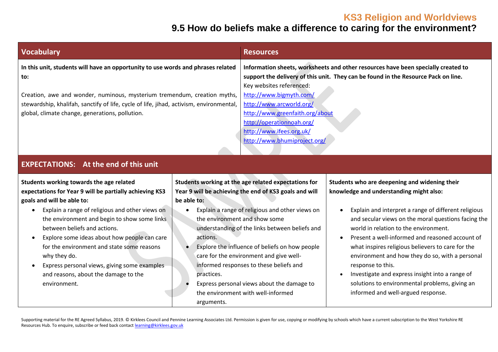# **9.5 How do beliefs make a difference to caring for the environment?**

| <b>Vocabulary</b>                                                                                                                                                                                                                                                                                                                                                                                                                                                                                                    |                                                                                      | <b>Resources</b>                                                                                                                                                                                                                                                                                                                                                                                                                                |                                                                                                                                                                                                                                                                                                                                                                                                                                                                                                                                                                             |  |  |
|----------------------------------------------------------------------------------------------------------------------------------------------------------------------------------------------------------------------------------------------------------------------------------------------------------------------------------------------------------------------------------------------------------------------------------------------------------------------------------------------------------------------|--------------------------------------------------------------------------------------|-------------------------------------------------------------------------------------------------------------------------------------------------------------------------------------------------------------------------------------------------------------------------------------------------------------------------------------------------------------------------------------------------------------------------------------------------|-----------------------------------------------------------------------------------------------------------------------------------------------------------------------------------------------------------------------------------------------------------------------------------------------------------------------------------------------------------------------------------------------------------------------------------------------------------------------------------------------------------------------------------------------------------------------------|--|--|
| In this unit, students will have an opportunity to use words and phrases related<br>to:<br>Creation, awe and wonder, numinous, mysterium tremendum, creation myths,<br>stewardship, khalifah, sanctify of life, cycle of life, jihad, activism, environmental,<br>global, climate change, generations, pollution.                                                                                                                                                                                                    |                                                                                      | Information sheets, worksheets and other resources have been specially created to<br>support the delivery of this unit. They can be found in the Resource Pack on line.<br>Key websites referenced:<br>http://www.bigmyth.com/<br>http://www.arcworld.org/<br>http://www.greenfaith.org/about<br>http://operationnoah.org/<br>http://www.ifees.org.uk/<br>http://www.bhumiproject.org/                                                          |                                                                                                                                                                                                                                                                                                                                                                                                                                                                                                                                                                             |  |  |
| <b>EXPECTATIONS:</b> At the end of this unit                                                                                                                                                                                                                                                                                                                                                                                                                                                                         |                                                                                      |                                                                                                                                                                                                                                                                                                                                                                                                                                                 |                                                                                                                                                                                                                                                                                                                                                                                                                                                                                                                                                                             |  |  |
| Students working towards the age related<br>expectations for Year 9 will be partially achieving KS3<br>goals and will be able to:<br>Explain a range of religious and other views on<br>$\bullet$<br>the environment and begin to show some links<br>between beliefs and actions.<br>Explore some ideas about how people can care<br>$\bullet$<br>for the environment and state some reasons<br>why they do.<br>Express personal views, giving some examples<br>and reasons, about the damage to the<br>environment. | be able to:<br>the environment and show some<br>actions.<br>practices.<br>arguments. | Students working at the age related expectations for<br>Year 9 will be achieving the end of KS3 goals and will<br>Explain a range of religious and other views on<br>understanding of the links between beliefs and<br>Explore the influence of beliefs on how people<br>care for the environment and give well-<br>informed responses to these beliefs and<br>Express personal views about the damage to<br>the environment with well-informed | Students who are deepening and widening their<br>knowledge and understanding might also:<br>Explain and interpret a range of different religious<br>and secular views on the moral questions facing the<br>world in relation to the environment.<br>Present a well-informed and reasoned account of<br>what inspires religious believers to care for the<br>environment and how they do so, with a personal<br>response to this.<br>Investigate and express insight into a range of<br>solutions to environmental problems, giving an<br>informed and well-argued response. |  |  |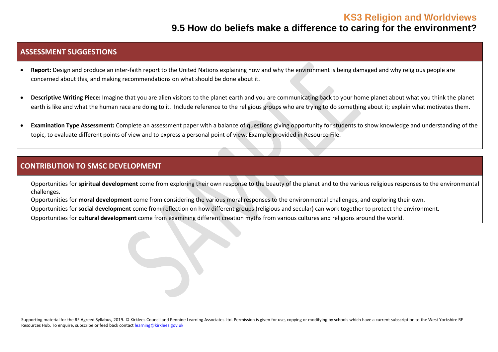#### **9.5 How do beliefs make a difference to caring for the environment?**

#### **ASSESSMENT SUGGESTIONS**

- **Report:** Design and produce an inter-faith report to the United Nations explaining how and why the environment is being damaged and why religious people are concerned about this, and making recommendations on what should be done about it.
- **Descriptive Writing Piece:** Imagine that you are alien visitors to the planet earth and you are communicating back to your home planet about what you think the planet earth is like and what the human race are doing to it. Include reference to the religious groups who are trying to do something about it; explain what motivates them.
- **Examination Type Assessment:** Complete an assessment paper with a balance of questions giving opportunity for students to show knowledge and understanding of the topic, to evaluate different points of view and to express a personal point of view. Example provided in Resource File.

#### **CONTRIBUTION TO SMSC DEVELOPMENT**

Opportunities for **spiritual development** come from exploring their own response to the beauty of the planet and to the various religious responses to the environmental challenges.

Opportunities for **moral development** come from considering the various moral responses to the environmental challenges, and exploring their own.

▪ Opportunities for **social development** come from reflection on how different groups (religious and secular) can work together to protect the environment.

Opportunities for **cultural development** come from examining different creation myths from various cultures and religions around the world.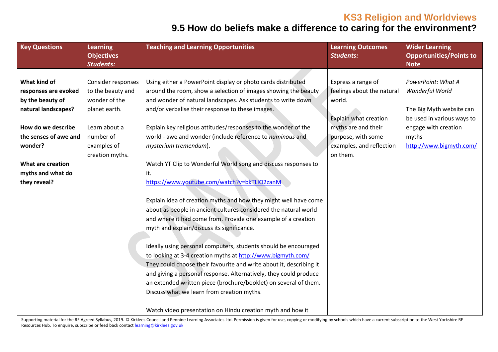# **9.5 How do beliefs make a difference to caring for the environment?**

| <b>Key Questions</b>  | <b>Learning</b><br><b>Objectives</b><br><b>Students:</b> | <b>Teaching and Learning Opportunities</b>                          | <b>Learning Outcomes</b><br><b>Students:</b> | <b>Wider Learning</b><br><b>Opportunities/Points to</b><br><b>Note</b> |
|-----------------------|----------------------------------------------------------|---------------------------------------------------------------------|----------------------------------------------|------------------------------------------------------------------------|
|                       |                                                          |                                                                     |                                              |                                                                        |
| What kind of          | Consider responses                                       | Using either a PowerPoint display or photo cards distributed        | Express a range of                           | PowerPoint: What A                                                     |
| responses are evoked  | to the beauty and                                        | around the room, show a selection of images showing the beauty      | feelings about the natural                   | Wonderful World                                                        |
| by the beauty of      | wonder of the                                            | and wonder of natural landscapes. Ask students to write down        | world.                                       |                                                                        |
| natural landscapes?   | planet earth.                                            | and/or verbalise their response to these images.                    |                                              | The Big Myth website can                                               |
|                       |                                                          |                                                                     | Explain what creation                        | be used in various ways to                                             |
| How do we describe    | Learn about a                                            | Explain key religious attitudes/responses to the wonder of the      | myths are and their                          | engage with creation                                                   |
| the senses of awe and | number of                                                | world - awe and wonder (include reference to numinous and           | purpose, with some                           | myths                                                                  |
| wonder?               | examples of                                              | mysterium tremendum).                                               | examples, and reflection                     | http://www.bigmyth.com/                                                |
|                       | creation myths.                                          |                                                                     | on them.                                     |                                                                        |
| What are creation     |                                                          | Watch YT Clip to Wonderful World song and discuss responses to      |                                              |                                                                        |
| myths and what do     |                                                          | it.                                                                 |                                              |                                                                        |
| they reveal?          |                                                          | https://www.youtube.com/watch?v=bkTLIO2zanM                         |                                              |                                                                        |
|                       |                                                          |                                                                     |                                              |                                                                        |
|                       |                                                          | Explain idea of creation myths and how they might well have come    |                                              |                                                                        |
|                       |                                                          | about as people in ancient cultures considered the natural world    |                                              |                                                                        |
|                       |                                                          | and where it had come from. Provide one example of a creation       |                                              |                                                                        |
|                       |                                                          | myth and explain/discuss its significance.                          |                                              |                                                                        |
|                       |                                                          |                                                                     |                                              |                                                                        |
|                       |                                                          | Ideally using personal computers, students should be encouraged     |                                              |                                                                        |
|                       |                                                          | to looking at 3-4 creation myths at http://www.bigmyth.com/         |                                              |                                                                        |
|                       |                                                          | They could choose their favourite and write about it, describing it |                                              |                                                                        |
|                       |                                                          | and giving a personal response. Alternatively, they could produce   |                                              |                                                                        |
|                       |                                                          | an extended written piece (brochure/booklet) on several of them.    |                                              |                                                                        |
|                       |                                                          | Discuss what we learn from creation myths.                          |                                              |                                                                        |
|                       |                                                          | Watch video presentation on Hindu creation myth and how it          |                                              |                                                                        |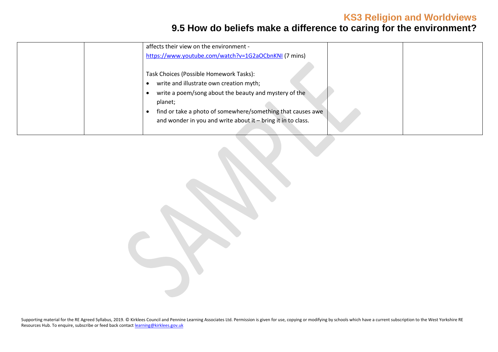# **9.5 How do beliefs make a difference to caring for the environment?**

|  | affects their view on the environment -                      |  |
|--|--------------------------------------------------------------|--|
|  | https://www.youtube.com/watch?v=1G2aOCbnKNI (7 mins)         |  |
|  |                                                              |  |
|  | Task Choices (Possible Homework Tasks):                      |  |
|  | write and illustrate own creation myth;                      |  |
|  | write a poem/song about the beauty and mystery of the        |  |
|  | planet;                                                      |  |
|  | find or take a photo of somewhere/something that causes awe  |  |
|  | and wonder in you and write about it - bring it in to class. |  |
|  |                                                              |  |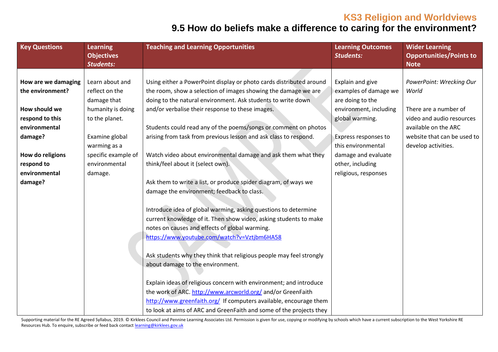# **9.5 How do beliefs make a difference to caring for the environment?**

| <b>Key Questions</b> | <b>Learning</b><br><b>Objectives</b><br><b>Students:</b> | <b>Teaching and Learning Opportunities</b>                          | <b>Learning Outcomes</b><br><b>Students:</b> | <b>Wider Learning</b><br><b>Opportunities/Points to</b><br><b>Note</b> |
|----------------------|----------------------------------------------------------|---------------------------------------------------------------------|----------------------------------------------|------------------------------------------------------------------------|
|                      |                                                          |                                                                     |                                              |                                                                        |
| How are we damaging  | Learn about and                                          | Using either a PowerPoint display or photo cards distributed around | Explain and give                             | PowerPoint: Wrecking Our                                               |
| the environment?     | reflect on the                                           | the room, show a selection of images showing the damage we are      | examples of damage we                        | World                                                                  |
|                      | damage that                                              | doing to the natural environment. Ask students to write down        | are doing to the                             |                                                                        |
| How should we        | humanity is doing                                        | and/or verbalise their response to these images.                    | environment, including                       | There are a number of                                                  |
| respond to this      | to the planet.                                           |                                                                     | global warming.                              | video and audio resources                                              |
| environmental        |                                                          | Students could read any of the poems/songs or comment on photos     |                                              | available on the ARC                                                   |
| damage?              | Examine global                                           | arising from task from previous lesson and ask class to respond.    | Express responses to                         | website that can be used to                                            |
|                      | warming as a                                             |                                                                     | this environmental                           | develop activities.                                                    |
| How do religions     | specific example of                                      | Watch video about environmental damage and ask them what they       | damage and evaluate                          |                                                                        |
| respond to           | environmental                                            | think/feel about it (select own).                                   | other, including                             |                                                                        |
| environmental        | damage.                                                  |                                                                     | religious, responses                         |                                                                        |
| damage?              |                                                          | Ask them to write a list, or produce spider diagram, of ways we     |                                              |                                                                        |
|                      |                                                          | damage the environment; feedback to class.                          |                                              |                                                                        |
|                      |                                                          | Introduce idea of global warming, asking questions to determine     |                                              |                                                                        |
|                      |                                                          | current knowledge of it. Then show video, asking students to make   |                                              |                                                                        |
|                      |                                                          | notes on causes and effects of global warming.                      |                                              |                                                                        |
|                      |                                                          | https://www.youtube.com/watch?v=Vztjbm6HA58                         |                                              |                                                                        |
|                      |                                                          | Ask students why they think that religious people may feel strongly |                                              |                                                                        |
|                      |                                                          | about damage to the environment.                                    |                                              |                                                                        |
|                      |                                                          | Explain ideas of religious concern with environment; and introduce  |                                              |                                                                        |
|                      |                                                          | the work of ARC. http://www.arcworld.org/ and/or GreenFaith         |                                              |                                                                        |
|                      |                                                          | http://www.greenfaith.org/ If computers available, encourage them   |                                              |                                                                        |
|                      |                                                          | to look at aims of ARC and GreenFaith and some of the projects they |                                              |                                                                        |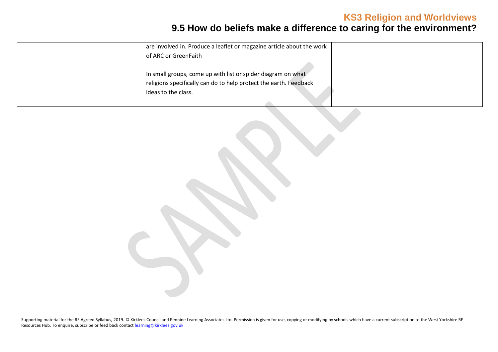# **9.5 How do beliefs make a difference to caring for the environment?**

| are involved in. Produce a leaflet or magazine article about the work                                                                                    |  |
|----------------------------------------------------------------------------------------------------------------------------------------------------------|--|
| of ARC or GreenFaith                                                                                                                                     |  |
| In small groups, come up with list or spider diagram on what<br>religions specifically can do to help protect the earth. Feedback<br>ideas to the class. |  |